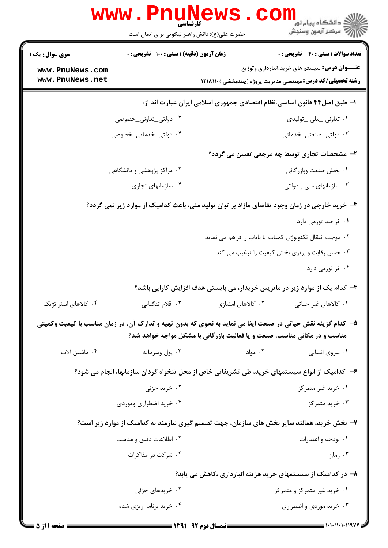|                                                                                               | WWW.PHUN<br>حضرت علی(ع): دانش راهبر نیکویی برای ایمان است |                    | ز<br>ز دانشگاه پيام نور<br>7' مرڪز آزمون وسنڊش                                                                                                                                            |  |
|-----------------------------------------------------------------------------------------------|-----------------------------------------------------------|--------------------|-------------------------------------------------------------------------------------------------------------------------------------------------------------------------------------------|--|
| <b>سری سوال :</b> یک ۱                                                                        | زمان آزمون (دقیقه) : تستی : 100 تشریحی : 0                |                    | تعداد سوالات : تستى : 40 - تشريحي : 0                                                                                                                                                     |  |
| www.PnuNews.com<br>www.PnuNews.net                                                            |                                                           |                    | <b>عنـــوان درس:</b> سیستم های خرید،انبارداری وتوزیع<br><b>رشته تحصیلی/کد درس: م</b> هندسی مدیریت پروژه (چندبخشی ) <b>۱۲۱۸۱۱۰</b>                                                         |  |
| ا– طبق اصل۴۴ قانون اساسی،نظام اقتصادی جمهوری اسلامی ایران عبارت اند از:                       |                                                           |                    |                                                                                                                                                                                           |  |
|                                                                                               | ۰۲ دولتی_تعاونی_خصوصی                                     |                    | ۰۱ تعاونی ملی _تولیدی                                                                                                                                                                     |  |
|                                                                                               | ۰۴ دولت <sub>ی_</sub> خدماتی_خصوصی                        |                    | ۰۳ دولت <u>ی </u> صنعتی_خدماتی                                                                                                                                                            |  |
|                                                                                               |                                                           |                    | ۲- مشخصات تجاری توسط چه مرجعی تعیین می گردد؟                                                                                                                                              |  |
|                                                                                               | ۰۲ مراکز پژوهشی و دانشگاهی                                |                    | ٠١. بخش صنعت وبازرگاني                                                                                                                                                                    |  |
|                                                                                               | ۰۴ سازمانهای تجاری                                        |                    | ۰۳ سازمانهای ملی و دولتی                                                                                                                                                                  |  |
| ۳- خرید خارجی در زمان وجود تقاضای مازاد بر توان تولید ملی، باعث کدامیک از موارد زیر نمی گردد؟ |                                                           |                    |                                                                                                                                                                                           |  |
|                                                                                               |                                                           |                    | ۰۱ اثر ضد تورمی دارد                                                                                                                                                                      |  |
|                                                                                               |                                                           |                    | ۰۲ موجب انتقال تکنولوژی کمیاب یا نایاب را فراهم می نماید                                                                                                                                  |  |
|                                                                                               |                                                           |                    | ۰۳ حسن رقابت و برتری بخش کیفیت را ترغیب می کند                                                                                                                                            |  |
|                                                                                               |                                                           |                    | ۰۴ اثر تورمی دارد                                                                                                                                                                         |  |
|                                                                                               |                                                           |                    | ۴- کدام یک از موارد زیر در ماتریس خریدار، می بایستی هدف افزایش کارایی باشد؟                                                                                                               |  |
| ۰۴ کالاهای استراتژیک                                                                          | ۰۳ اقلام تنگنایی                                          | ۰۲ کالاهای امتیازی | ۰۱ کالاهای غیر حیاتی                                                                                                                                                                      |  |
|                                                                                               |                                                           |                    | ۵– کدام گزینه نقش حیاتی در صنعت ایفا می نماید به نحوی که بدون تهیه و تدارک آن، در زمان مناسب با کیفیت وکمیتی<br>مناسب و در مکانی مناسب، صنعت و یا فعالیت بازرگانی با مشکل مواجه خواهد شد؟ |  |
| ۰۴ ماشین الات                                                                                 | ۰۳ پول وسرمايه                                            | ۰۲ مواد            | ۰۱ نیروی انسانی                                                                                                                                                                           |  |
|                                                                                               |                                                           |                    | ۶– کدامیک از انواع سیستمهای خرید، طی تشریفاتی خاص از محل تنخواه گردان سازمانها، انجام می شود؟                                                                                             |  |
|                                                                                               | ۰۲ خرید جزئی                                              |                    | ۰۱ خرید غیر متمرکز                                                                                                                                                                        |  |
|                                                                                               | ۰۴ خرید اضطراری وموردی                                    |                    | ۰۳ خرید متمرکز                                                                                                                                                                            |  |
|                                                                                               |                                                           |                    | ۷– بخش خرید، همانند سایر بخش های سازمان، جهت تصمیم گیری نیازمند به کدامیک از موارد زیر است؟                                                                                               |  |
|                                                                                               | ۰۲ اطلاعات دقیق و مناسب                                   |                    | ۰۱ بودجه و اعتبارات                                                                                                                                                                       |  |
|                                                                                               | ۰۴ شرکت در مذاکرات                                        |                    | ۰۳ زمان                                                                                                                                                                                   |  |
|                                                                                               |                                                           |                    | ۸– در کدامیک از سیستمهای خرید هزینه انبارداری ،کاهش می یابد؟                                                                                                                              |  |
|                                                                                               | ۰۲ خریدهای جزئی                                           |                    | ۰۱ خرید غیر متمرکز و متمرکز                                                                                                                                                               |  |
|                                                                                               | ۰۴ خرید برنامه ریزی شده                                   |                    | ۰۳ خرید موردی و اضطراری                                                                                                                                                                   |  |
|                                                                                               |                                                           |                    |                                                                                                                                                                                           |  |

 $= 1.1 - 11.1198$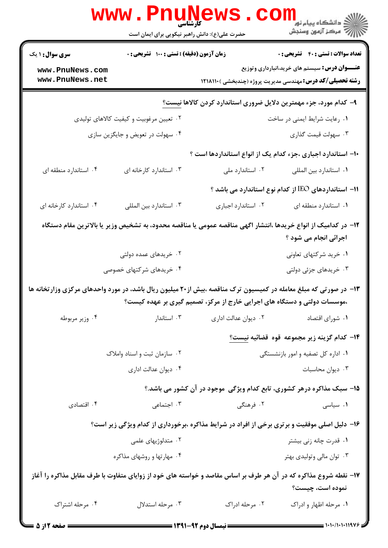|                                                                                                                                                                                              | www.PnuNews<br>حضرت علی(ع): دانش راهبر نیکویی برای ایمان است |                                                                                                                  | الاد دانشگاه پيام نور<br>الاد مرکز آزمون وسنجش                                                                                   |  |
|----------------------------------------------------------------------------------------------------------------------------------------------------------------------------------------------|--------------------------------------------------------------|------------------------------------------------------------------------------------------------------------------|----------------------------------------------------------------------------------------------------------------------------------|--|
| <b>سری سوال : ۱ یک</b>                                                                                                                                                                       | زمان آزمون (دقیقه) : تستی : ۱۰۰ آتشریحی : ۰                  |                                                                                                                  | <b>تعداد سوالات : تستي : 40 - تشريحي : 0</b>                                                                                     |  |
| www.PnuNews.com<br>www.PnuNews.net                                                                                                                                                           |                                                              |                                                                                                                  | <b>عنـــوان درس:</b> سیستم های خرید،انبارداری وتوزیع<br><b>رشته تحصیلی/کد درس:</b> مهندسی مدیریت پروژه (چندبخشی ) <b>۱۲۱۸۱۱۰</b> |  |
|                                                                                                                                                                                              |                                                              | ۹- کدام مورد، جزء مهمترین دلایل ضروری استاندارد کردن کالاها نیست؟                                                |                                                                                                                                  |  |
|                                                                                                                                                                                              | ۰۲ تعیین مرغوبیت و کیفیت کالاهای تولیدی                      |                                                                                                                  | ۰۱ رعایت شرایط ایمنی در ساخت                                                                                                     |  |
|                                                                                                                                                                                              | ۰۴ سهولت در تعویض و جایگزین سازی                             |                                                                                                                  | ۰۳ سهولت قیمت گذاری                                                                                                              |  |
|                                                                                                                                                                                              |                                                              | ۱۰– استاندارد اجباری ،جزء کدام یک از انواع استانداردها است ؟                                                     |                                                                                                                                  |  |
| ۰۴ استاندارد منطقه ای                                                                                                                                                                        | ۰۳ استاندارد کارخانه ای                                      | ۰۲ استاندارد ملی                                                                                                 | ۰۱ استاندارد بين المللي                                                                                                          |  |
|                                                                                                                                                                                              |                                                              |                                                                                                                  | 11- استانداردهای IEO از کدام نوع استاندارد می باشد ؟                                                                             |  |
| ۰۴ استاندارد کارخانه ای                                                                                                                                                                      | ٠٣ استاندارد بين المللي                                      | ٠٢ استاندارد اجبارى                                                                                              | ٠١. استاندارد منطقه ای                                                                                                           |  |
| ۱۲– در کدامیک از انواع خریدها ،انتشار اگهی مناقصه عمومی یا مناقصه محدود، به تشخیص وزیر یا بالاترین مقام دستگاه<br>اجرائی انجام می شود ؟                                                      |                                                              |                                                                                                                  |                                                                                                                                  |  |
|                                                                                                                                                                                              | ۰۲ خریدهای عمده دولتی                                        |                                                                                                                  | ۰۱ خرید شرکتهای تعاونی                                                                                                           |  |
|                                                                                                                                                                                              | ۰۴ خریدهای شرکتهای خصوصی                                     |                                                                                                                  | ۰۳ خریدهای جزئی دولتی                                                                                                            |  |
| ۱۳- در صورتی که مبلغ معامله در کمیسیون ترک مناقصه ،بیش از۲۰ میلیون ریال باشد، در مورد واحدهای مرکزی وزارتخانه ها<br>،موسسات دولتی و دستگاه های اجرایی خارج از مرکز، تصمیم گیری بر عهده کیست؟ |                                                              |                                                                                                                  |                                                                                                                                  |  |
| ۰۴ وزير مربوطه                                                                                                                                                                               | ۰۳ استاندار                                                  | ۰۲ دیوان عدالت اداری                                                                                             | ٠١ شوراي اقتصاد                                                                                                                  |  |
|                                                                                                                                                                                              |                                                              |                                                                                                                  | ۱۴– کدام گزینه زیر مجموعه قوه قضائیه نیست <u>؟</u>                                                                               |  |
|                                                                                                                                                                                              | ۰۲ سازمان ثبت و اسناد واملاک                                 |                                                                                                                  | ۰۱ اداره کل تصفیه و امور بازنشستگی                                                                                               |  |
|                                                                                                                                                                                              | ۰۴ دیوان عدالت اداری                                         |                                                                                                                  | ۰۳ دیوان محاسبات                                                                                                                 |  |
|                                                                                                                                                                                              |                                                              | ۱۵- سبک مذاکره درهر کشوری، تابع کدام ویژگی موجود در آن کشور می باشد.؟                                            |                                                                                                                                  |  |
| ۰۴ اقتصادی                                                                                                                                                                                   | ۰۳ اجتماعی                                                   | ۰۲ فرهنگی                                                                                                        | ۰۱ سیاسی                                                                                                                         |  |
|                                                                                                                                                                                              |                                                              | ۱۶- دلیل اصلی موفقیت و برتری برخی از افراد در شرایط مذاکره ،برخورداری از کدام ویژگی زیر است؟                     |                                                                                                                                  |  |
|                                                                                                                                                                                              | ۰۲ متدلوژیهای علمی                                           |                                                                                                                  | ۰۱ قدرت چانه زنی بیشتر                                                                                                           |  |
|                                                                                                                                                                                              | ۰۴ مهارتها و روشهای مذاکره                                   |                                                                                                                  | ۰۳ توان مالی وتولیدی بهتر                                                                                                        |  |
|                                                                                                                                                                                              |                                                              | ۱۷– نقطه شروع مذاکره که در آن هر طرف بر اساس مقاصد و خواسته های خود از زوایای متفاوت با طرف مقابل مذاکره را آغاز | نموده است، چیست؟                                                                                                                 |  |
| ۰۴ مرحله اشتراک                                                                                                                                                                              | ۰۳ مرحله استدلال                                             | ۰۲ مرحله ادراک                                                                                                   | ۰۱ مرحله اظهار و ادراک                                                                                                           |  |

 $= 1.1 - (1.1119V)$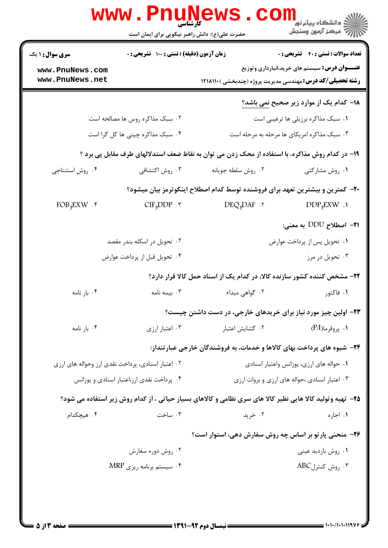| <b>سری سوال :</b> ۱ یک                            | زمان آزمون (دقیقه) : تستی : 100 تشریحی : 0 |                                                                                                           | <b>تعداد سوالات : تستي : 40 - تشريحي : 0</b>         |  |
|---------------------------------------------------|--------------------------------------------|-----------------------------------------------------------------------------------------------------------|------------------------------------------------------|--|
| www.PnuNews.com                                   |                                            |                                                                                                           | <b>عنـــوان درس:</b> سیستم های خرید،انبارداری وتوزیع |  |
| www.PnuNews.net                                   |                                            | <b>رشته تحصیلی/کد درس: مهندسی مدیریت پروژه (چندبخشی ) 1218110</b>                                         |                                                      |  |
|                                                   |                                            |                                                                                                           | ۱۸– کدام یک از موارد زیر صحیح <u>نمی</u> باشد؟       |  |
|                                                   | ۰۲ سبک مذاکره روس ها مصالحه است            |                                                                                                           | ۰۱ سبک مذاکره برزیلی ها ترغیبی است                   |  |
|                                                   | ۰۴ سبک مذاکره چینی ها کل گرا است           | ۰۳ سبک مذاکره امریکای ها مرحله به مرحله است                                                               |                                                      |  |
|                                                   |                                            | ۱۹- در کدام روش مذاکره، با استفاده از محک زدن می توان به نقاط ضعف استدلالهای طرف مقابل پی برد ؟           |                                                      |  |
| ۰۴ روش استنتاجي                                   | ۰۳ روش اکتشافی                             | ٠٢ روش سلطه جويانه                                                                                        | ۰۱ روش مشاركتي                                       |  |
|                                                   |                                            | +۲- کمترین و بیشترین تعهد برای فروشنده توسط کدام اصطلاح اینکوترمز بیان میشود؟                             |                                                      |  |
| $FOB9EXW$ .                                       | $CIF_{9}DDP \cdot \tau$                    | $DEQ_9DAF$ .                                                                                              | $DDP_{\phi}EXW$ .                                    |  |
|                                                   |                                            |                                                                                                           | <b>۳۱</b> – اصطلاح DDU به معنی:                      |  |
|                                                   | ۰۲ تحویل در اسکله بندر مقصد                |                                                                                                           | ۰۱ تحویل پس از پرداخت عوارض                          |  |
|                                                   | ۰۴ تحویل قبل از پرداخت عوارض               |                                                                                                           | ۰۳ تحویل در مرز                                      |  |
|                                                   |                                            | ۲۲- مشخص کننده کشور سازنده کالا، در کدام یک از اسناد حمل کالا قرار دارد؟                                  |                                                      |  |
| ۰۴ بار نامه                                       | ۰۳ بیمه نامه                               | ۰۲ گواهی مبداء                                                                                            | ۰۱ فاکتور                                            |  |
|                                                   |                                            | ۲۳– اولین چیز مورد نیاز برای خریدهای خارجی، در دست داشتن چیست؟                                            |                                                      |  |
| ۰۴ بار نامه                                       | ۰۳ اعتبار ارزی                             | ۰۲ گشایش اعتبار                                                                                           | ۰۱ پروفرما(P/I)                                      |  |
|                                                   |                                            | ۲۴- شیوه های پرداخت بهای کالاها و خدمات، به فروشندگان خارجی عبارتنداز:                                    |                                                      |  |
| ۰۲ اعتبار اسنادی، پرداخت نقدی ارز وحواله های ارزی |                                            |                                                                                                           | ۰۱ حواله های ارزی، یوزانس واعتبار اسنادی             |  |
|                                                   | ۰۴ پرداخت نقدی ارز،اعتبار اسنادی و یوزانس  |                                                                                                           | ۰۳ اعتبار اسنادی ،حواله های ارزی و بروات ارزی        |  |
|                                                   |                                            | ۲۵- تهیه وتولید کالا هایی نظیر کالا های سری نظامی و کالاهای بسیار حیاتی ، از کدام روش زیر استفاده می شود؟ |                                                      |  |
| ۰۴ هیچکدام                                        | ۰۳ ساخت                                    | ۰۲ خرید                                                                                                   | ۰۱ اجاره                                             |  |
|                                                   |                                            | ۲۶- منحنی پار تو بر اساس چه روش سفارش دهی، استوار است؟                                                    |                                                      |  |
|                                                   | ۰۲ روش دوره سفارش                          |                                                                                                           | ۰۱ روش بازديد عيني                                   |  |
|                                                   | ۰۴ سیستم برنامه ریزی MRP                   |                                                                                                           | ۰۳ روش کنترلABC                                      |  |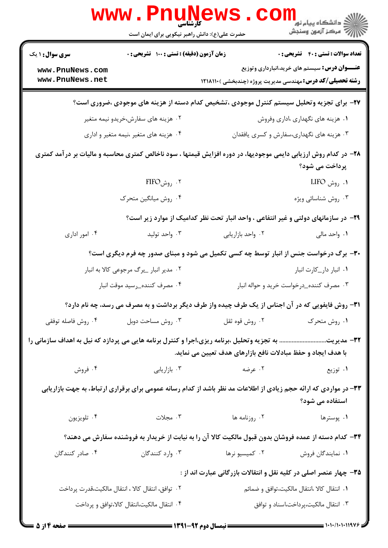|                                    | <b>WWW.PNUNE</b><br>کارشناسی<br>حضرت علی(ع): دانش راهبر نیکویی برای ایمان است |                                                                                                                                                                       | ر دانشگاه پيام نور <mark>−</mark><br>ار∕* مرکز آزمون وسنجش |
|------------------------------------|-------------------------------------------------------------------------------|-----------------------------------------------------------------------------------------------------------------------------------------------------------------------|------------------------------------------------------------|
| <b>سری سوال : ۱ یک</b>             | زمان آزمون (دقیقه) : تستی : ۱۰۰٪ تشریحی : ۰                                   |                                                                                                                                                                       | <b>تعداد سوالات : تستي : 40 - تشريحي : 0</b>               |
| www.PnuNews.com<br>www.PnuNews.net |                                                                               | <b>رشته تحصیلی/کد درس:</b> مهندسی مدیریت پروژه (چندبخشی ) ۱۲۱۸۱۱۰                                                                                                     | <b>عنـــوان درس:</b> سیستم های خرید،انبارداری وتوزیع       |
|                                    |                                                                               | ۲۷- برای تجزیه وتحلیل سیستم کنترل موجودی ،تشخیص کدام دسته از هزینه های موجودی ،ضروری است؟                                                                             |                                                            |
|                                    | ۰۲ هزینه های سفارش،خریدو نیمه متغیر                                           |                                                                                                                                                                       | ۰۱ هزینه های نگهداری ،اداری وفروش                          |
|                                    | ۰۴ هزینه های متغیر ،نیمه متغیر و اداری                                        |                                                                                                                                                                       | ۰۳ هزینه های نگهداری،سفارش و کسری یافقدان                  |
|                                    |                                                                               | ۲۸– در کدام روش ارزیابی دایمی موجودیها، در دوره افزایش قیمتها ، سود ناخالص کمتری محاسبه و مالیات بر درآمد کمتری                                                       | پرداخت می شود؟                                             |
|                                    | ۲. <sub>روش</sub> FIFO                                                        |                                                                                                                                                                       | ۰۱ روش LIFO                                                |
|                                    | ۰۴ روش میانگین متحرک                                                          |                                                                                                                                                                       | ۰۳ روش شناسائی ویژه                                        |
|                                    |                                                                               | ۲۹- در سازمانهای دولتی و غیر انتفاعی ، واحد انبار تحت نظر کدامیک از موارد زیر است؟                                                                                    |                                                            |
| ۰۴ امور اداری                      | ۰۳ واحد تولید                                                                 | ٠٢ واحد بازاريابي                                                                                                                                                     | ۰۱ واحد مالی                                               |
|                                    |                                                                               | ۳۰- برگ درخواست جنس از انبار توسط چه کسی تکمیل می شود و مبنای صدور چه فرم دیگری است؟                                                                                  |                                                            |
|                                    | ۰۲ مدیر انبار _برگ مرجوعی کالا به انبار                                       |                                                                                                                                                                       | ۰۱ انبار دار_کارت انبار                                    |
|                                    | ۰۴ مصرف کننده_رسید موقت انبار                                                 |                                                                                                                                                                       | ۰۳ مصرف کننده_درخواست خرید و حواله انبار                   |
|                                    |                                                                               | <b>۳۱</b> - روش فایفویی که در آن اجناس از یک طرف چیده واز طرف دیگر برداشت و به مصرف می رسد، چه نام دارد؟                                                              |                                                            |
| ۰۴ روش فاصله توفقي                 | ۰۳ روش مساحت دوبل                                                             | ۰۲ روش قوه ثقل                                                                                                                                                        | ٠١ روش متحرك                                               |
|                                    |                                                                               | 33- مدیریت به تجزیه وتحلیل ،برنامه ریزی،اجرا و کنترل برنامه هایی می پردازد که نیل به اهداف سازمانی را<br>با هدف ایجاد و حفظ مبادلات نافع بازارهای هدف تعیین می نماید. |                                                            |
| ۰۴ فروش                            | ۰۳ بازاریابی                                                                  | ۰۲ عرضه                                                                                                                                                               | ۰۱ توزیع                                                   |
|                                    |                                                                               | ۳۳– در مواردی که ارائه حجم زیادی از اطلاعات مد نظر باشد از کدام رسانه عمومی برای برقراری ارتباط، به جهت بازاریابی                                                     | استفاده می شود؟                                            |
| ۰۴ تلويزيون                        | ۰۳ مجلات                                                                      | ۰۲ روزنامه ها                                                                                                                                                         | ۰۱ پوسترها                                                 |
|                                    |                                                                               | ۳۴– کدام دسته از عمده فروشان بدون قبول مالکیت کالا آن را به نیابت از خریدار به فروشنده سفارش می دهند؟                                                                 |                                                            |
| ۰۴ صادر کنندگان                    | ۰۳ وارد کنندگان                                                               | ۰۲ کمیسیو نرها                                                                                                                                                        | ٠١. نمايندگان فروش                                         |
|                                    |                                                                               | ۳۵- چهار عنصر اصلی در کلیه نقل و انتقالات بازرگانی عبارت اند از :                                                                                                     |                                                            |
|                                    | ۰۲ توافق، انتقال کالا ، انتقال مالکیت،قدرت پرداخت                             |                                                                                                                                                                       | ۰۱ انتقال کالا ،انتقال مالکیت،توافق و ضمائم                |
|                                    | ۰۴ انتقال مالكيت،انتقال كالا،توافق و پرداخت                                   |                                                                                                                                                                       | ۰۳ انتقال مالکیت،پرداخت،اسناد و توافق                      |
|                                    |                                                                               | $\frac{1}{2}$ (we) av $\frac{1}{2}$ (f $\frac{1}{2}$ ) $\frac{1}{2}$ (f $\frac{1}{2}$ ) $\frac{1}{2}$                                                                 |                                                            |